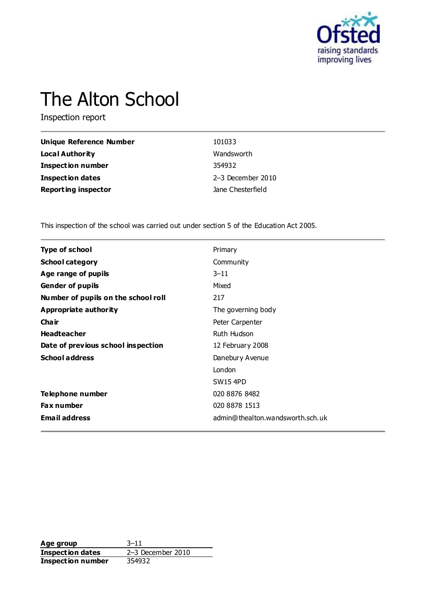

# The Alton School

Inspection report

| <b>Unique Reference Number</b> | 101033                |
|--------------------------------|-----------------------|
| <b>Local Authority</b>         | Wandsworth            |
| <b>Inspection number</b>       | 354932                |
| <b>Inspection dates</b>        | $2-3$ December $2010$ |
| <b>Reporting inspector</b>     | Jane Chesterfield     |

This inspection of the school was carried out under section 5 of the Education Act 2005.

| <b>Type of school</b>               | Primary                          |
|-------------------------------------|----------------------------------|
| <b>School category</b>              | Community                        |
| Age range of pupils                 | $3 - 11$                         |
| <b>Gender of pupils</b>             | Mixed                            |
| Number of pupils on the school roll | 217                              |
| Appropriate authority               | The governing body               |
| Cha ir                              | Peter Carpenter                  |
| <b>Headteacher</b>                  | Ruth Hudson                      |
| Date of previous school inspection  | 12 February 2008                 |
| <b>School address</b>               | Danebury Avenue                  |
|                                     | London                           |
|                                     | <b>SW15 4PD</b>                  |
| Telephone number                    | 020 8876 8482                    |
| <b>Fax number</b>                   | 020 8878 1513                    |
| <b>Email address</b>                | admin@thealton.wandsworth.sch.uk |
|                                     |                                  |

**Age group** 3-11<br> **Inspection dates** 2-3 December 2010 **Inspection dates** 2–3 December 2010 **Inspection number** 354932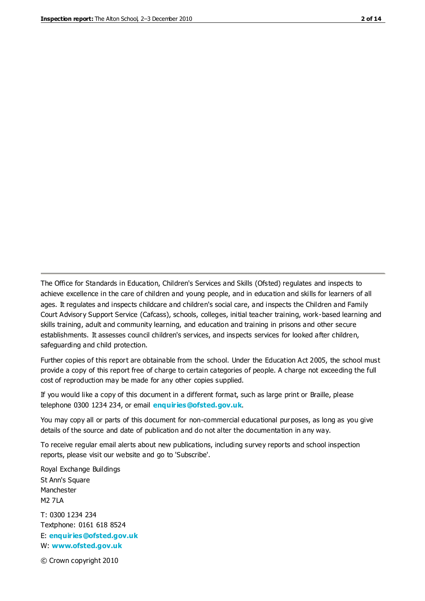The Office for Standards in Education, Children's Services and Skills (Ofsted) regulates and inspects to achieve excellence in the care of children and young people, and in education and skills for learners of all ages. It regulates and inspects childcare and children's social care, and inspects the Children and Family Court Advisory Support Service (Cafcass), schools, colleges, initial teacher training, work-based learning and skills training, adult and community learning, and education and training in prisons and other secure establishments. It assesses council children's services, and inspects services for looked after children, safeguarding and child protection.

Further copies of this report are obtainable from the school. Under the Education Act 2005, the school must provide a copy of this report free of charge to certain categories of people. A charge not exceeding the full cost of reproduction may be made for any other copies supplied.

If you would like a copy of this document in a different format, such as large print or Braille, please telephone 0300 1234 234, or email **[enquiries@ofsted.gov.uk](mailto:enquiries@ofsted.gov.uk)**.

You may copy all or parts of this document for non-commercial educational purposes, as long as you give details of the source and date of publication and do not alter the documentation in any way.

To receive regular email alerts about new publications, including survey reports and school inspection reports, please visit our website and go to 'Subscribe'.

Royal Exchange Buildings St Ann's Square Manchester M2 7LA T: 0300 1234 234 Textphone: 0161 618 8524 E: **[enquiries@ofsted.gov.uk](mailto:enquiries@ofsted.gov.uk)**

W: **[www.ofsted.gov.uk](http://www.ofsted.gov.uk/)**

© Crown copyright 2010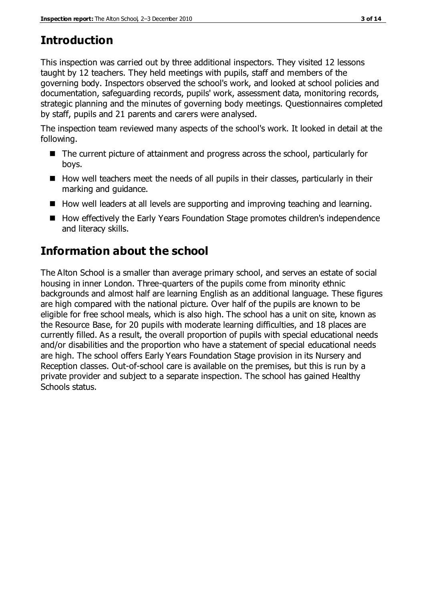# **Introduction**

This inspection was carried out by three additional inspectors. They visited 12 lessons taught by 12 teachers. They held meetings with pupils, staff and members of the governing body. Inspectors observed the school's work, and looked at school policies and documentation, safeguarding records, pupils' work, assessment data, monitoring records, strategic planning and the minutes of governing body meetings. Questionnaires completed by staff, pupils and 21 parents and carers were analysed.

The inspection team reviewed many aspects of the school's work. It looked in detail at the following.

- The current picture of attainment and progress across the school, particularly for boys.
- $\blacksquare$  How well teachers meet the needs of all pupils in their classes, particularly in their marking and guidance.
- How well leaders at all levels are supporting and improving teaching and learning.
- How effectively the Early Years Foundation Stage promotes children's independence and literacy skills.

# **Information about the school**

The Alton School is a smaller than average primary school, and serves an estate of social housing in inner London. Three-quarters of the pupils come from minority ethnic backgrounds and almost half are learning English as an additional language. These figures are high compared with the national picture. Over half of the pupils are known to be eligible for free school meals, which is also high. The school has a unit on site, known as the Resource Base, for 20 pupils with moderate learning difficulties, and 18 places are currently filled. As a result, the overall proportion of pupils with special educational needs and/or disabilities and the proportion who have a statement of special educational needs are high. The school offers Early Years Foundation Stage provision in its Nursery and Reception classes. Out-of-school care is available on the premises, but this is run by a private provider and subject to a separate inspection. The school has gained Healthy Schools status.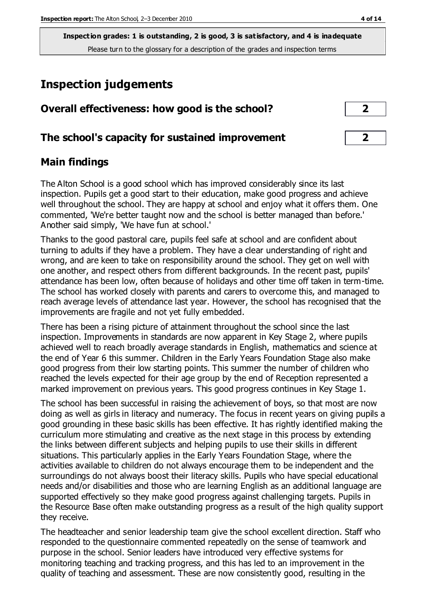**Inspection grades: 1 is outstanding, 2 is good, 3 is satisfactory, and 4 is inadequate** Please turn to the glossary for a description of the grades and inspection terms

# **Inspection judgements**

| Overall effectiveness: how good is the school?  |  |
|-------------------------------------------------|--|
| The school's capacity for sustained improvement |  |

## **Main findings**

The Alton School is a good school which has improved considerably since its last inspection. Pupils get a good start to their education, make good progress and achieve well throughout the school. They are happy at school and enjoy what it offers them. One commented, 'We're better taught now and the school is better managed than before.' Another said simply, 'We have fun at school.'

Thanks to the good pastoral care, pupils feel safe at school and are confident about turning to adults if they have a problem. They have a clear understanding of right and wrong, and are keen to take on responsibility around the school. They get on well with one another, and respect others from different backgrounds. In the recent past, pupils' attendance has been low, often because of holidays and other time off taken in term-time. The school has worked closely with parents and carers to overcome this, and managed to reach average levels of attendance last year. However, the school has recognised that the improvements are fragile and not yet fully embedded.

There has been a rising picture of attainment throughout the school since the last inspection. Improvements in standards are now apparent in Key Stage 2, where pupils achieved well to reach broadly average standards in English, mathematics and science at the end of Year 6 this summer. Children in the Early Years Foundation Stage also make good progress from their low starting points. This summer the number of children who reached the levels expected for their age group by the end of Reception represented a marked improvement on previous years. This good progress continues in Key Stage 1.

The school has been successful in raising the achievement of boys, so that most are now doing as well as girls in literacy and numeracy. The focus in recent years on giving pupils a good grounding in these basic skills has been effective. It has rightly identified making the curriculum more stimulating and creative as the next stage in this process by extending the links between different subjects and helping pupils to use their skills in different situations. This particularly applies in the Early Years Foundation Stage, where the activities available to children do not always encourage them to be independent and the surroundings do not always boost their literacy skills. Pupils who have special educational needs and/or disabilities and those who are learning English as an additional language are supported effectively so they make good progress against challenging targets. Pupils in the Resource Base often make outstanding progress as a result of the high quality support they receive.

The headteacher and senior leadership team give the school excellent direction. Staff who responded to the questionnaire commented repeatedly on the sense of teamwork and purpose in the school. Senior leaders have introduced very effective systems for monitoring teaching and tracking progress, and this has led to an improvement in the quality of teaching and assessment. These are now consistently good, resulting in the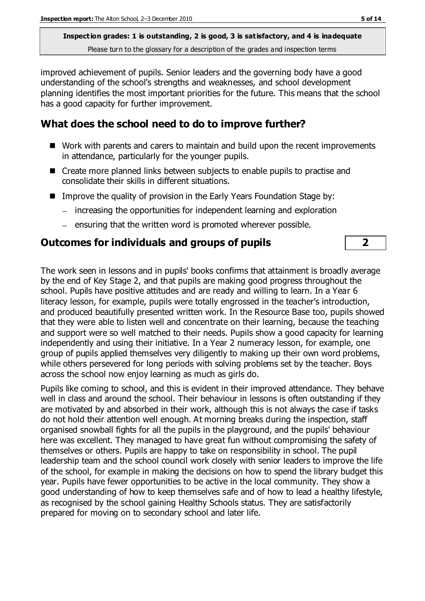**Inspection grades: 1 is outstanding, 2 is good, 3 is satisfactory, and 4 is inadequate** Please turn to the glossary for a description of the grades and inspection terms

improved achievement of pupils. Senior leaders and the governing body have a good understanding of the school's strengths and weaknesses, and school development planning identifies the most important priorities for the future. This means that the school has a good capacity for further improvement.

## **What does the school need to do to improve further?**

- Work with parents and carers to maintain and build upon the recent improvements in attendance, particularly for the younger pupils.
- Create more planned links between subjects to enable pupils to practise and consolidate their skills in different situations.
- **IMPROVE THE GUALITY OF PROVISION IN THE EARLY YEARS FOUNDATION Stage by:** 
	- increasing the opportunities for independent learning and exploration
	- $-$  ensuring that the written word is promoted wherever possible.

## **Outcomes for individuals and groups of pupils 2**

The work seen in lessons and in pupils' books confirms that attainment is broadly average by the end of Key Stage 2, and that pupils are making good progress throughout the school. Pupils have positive attitudes and are ready and willing to learn. In a Year 6 literacy lesson, for example, pupils were totally engrossed in the teacher's introduction, and produced beautifully presented written work. In the Resource Base too, pupils showed that they were able to listen well and concentrate on their learning, because the teaching and support were so well matched to their needs. Pupils show a good capacity for learning independently and using their initiative. In a Year 2 numeracy lesson, for example, one group of pupils applied themselves very diligently to making up their own word problems, while others persevered for long periods with solving problems set by the teacher. Boys across the school now enjoy learning as much as girls do.

Pupils like coming to school, and this is evident in their improved attendance. They behave well in class and around the school. Their behaviour in lessons is often outstanding if they are motivated by and absorbed in their work, although this is not always the case if tasks do not hold their attention well enough. At morning breaks during the inspection, staff organised snowball fights for all the pupils in the playground, and the pupils' behaviour here was excellent. They managed to have great fun without compromising the safety of themselves or others. Pupils are happy to take on responsibility in school. The pupil leadership team and the school council work closely with senior leaders to improve the life of the school, for example in making the decisions on how to spend the library budget this year. Pupils have fewer opportunities to be active in the local community. They show a good understanding of how to keep themselves safe and of how to lead a healthy lifestyle, as recognised by the school gaining Healthy Schools status. They are satisfactorily prepared for moving on to secondary school and later life.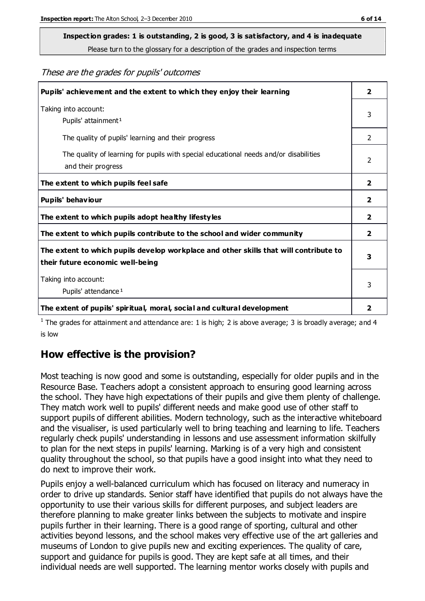# **Inspection grades: 1 is outstanding, 2 is good, 3 is satisfactory, and 4 is inadequate**

Please turn to the glossary for a description of the grades and inspection terms

#### These are the grades for pupils' outcomes

| Pupils' achievement and the extent to which they enjoy their learning                                                     | $\overline{2}$          |
|---------------------------------------------------------------------------------------------------------------------------|-------------------------|
| Taking into account:<br>Pupils' attainment <sup>1</sup>                                                                   | 3                       |
| The quality of pupils' learning and their progress                                                                        | $\mathcal{P}$           |
| The quality of learning for pupils with special educational needs and/or disabilities<br>and their progress               | 2                       |
| The extent to which pupils feel safe                                                                                      | $\overline{2}$          |
| Pupils' behaviour                                                                                                         | 2                       |
| The extent to which pupils adopt healthy lifestyles                                                                       | 2                       |
| The extent to which pupils contribute to the school and wider community                                                   | $\overline{2}$          |
| The extent to which pupils develop workplace and other skills that will contribute to<br>their future economic well-being | 3                       |
| Taking into account:<br>Pupils' attendance <sup>1</sup>                                                                   |                         |
| The extent of pupils' spiritual, moral, social and cultural development                                                   | $\overline{\mathbf{2}}$ |

<sup>1</sup> The grades for attainment and attendance are: 1 is high; 2 is above average; 3 is broadly average; and 4 is low

#### **How effective is the provision?**

Most teaching is now good and some is outstanding, especially for older pupils and in the Resource Base. Teachers adopt a consistent approach to ensuring good learning across the school. They have high expectations of their pupils and give them plenty of challenge. They match work well to pupils' different needs and make good use of other staff to support pupils of different abilities. Modern technology, such as the interactive whiteboard and the visualiser, is used particularly well to bring teaching and learning to life. Teachers regularly check pupils' understanding in lessons and use assessment information skilfully to plan for the next steps in pupils' learning. Marking is of a very high and consistent quality throughout the school, so that pupils have a good insight into what they need to do next to improve their work.

Pupils enjoy a well-balanced curriculum which has focused on literacy and numeracy in order to drive up standards. Senior staff have identified that pupils do not always have the opportunity to use their various skills for different purposes, and subject leaders are therefore planning to make greater links between the subjects to motivate and inspire pupils further in their learning. There is a good range of sporting, cultural and other activities beyond lessons, and the school makes very effective use of the art galleries and museums of London to give pupils new and exciting experiences. The quality of care, support and guidance for pupils is good. They are kept safe at all times, and their individual needs are well supported. The learning mentor works closely with pupils and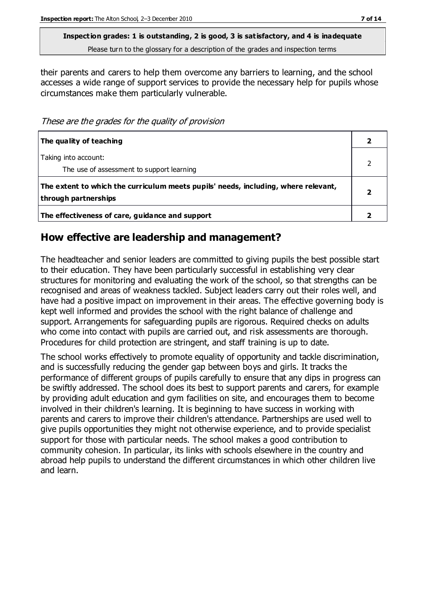**Inspection grades: 1 is outstanding, 2 is good, 3 is satisfactory, and 4 is inadequate** Please turn to the glossary for a description of the grades and inspection terms

their parents and carers to help them overcome any barriers to learning, and the school accesses a wide range of support services to provide the necessary help for pupils whose circumstances make them particularly vulnerable.

These are the grades for the quality of provision

| The quality of teaching                                                                                    |  |
|------------------------------------------------------------------------------------------------------------|--|
| Taking into account:<br>The use of assessment to support learning                                          |  |
| The extent to which the curriculum meets pupils' needs, including, where relevant,<br>through partnerships |  |
| The effectiveness of care, guidance and support                                                            |  |

#### **How effective are leadership and management?**

The headteacher and senior leaders are committed to giving pupils the best possible start to their education. They have been particularly successful in establishing very clear structures for monitoring and evaluating the work of the school, so that strengths can be recognised and areas of weakness tackled. Subject leaders carry out their roles well, and have had a positive impact on improvement in their areas. The effective governing body is kept well informed and provides the school with the right balance of challenge and support. Arrangements for safeguarding pupils are rigorous. Required checks on adults who come into contact with pupils are carried out, and risk assessments are thorough. Procedures for child protection are stringent, and staff training is up to date.

The school works effectively to promote equality of opportunity and tackle discrimination, and is successfully reducing the gender gap between boys and girls. It tracks the performance of different groups of pupils carefully to ensure that any dips in progress can be swiftly addressed. The school does its best to support parents and carers, for example by providing adult education and gym facilities on site, and encourages them to become involved in their children's learning. It is beginning to have success in working with parents and carers to improve their children's attendance. Partnerships are used well to give pupils opportunities they might not otherwise experience, and to provide specialist support for those with particular needs. The school makes a good contribution to community cohesion. In particular, its links with schools elsewhere in the country and abroad help pupils to understand the different circumstances in which other children live and learn.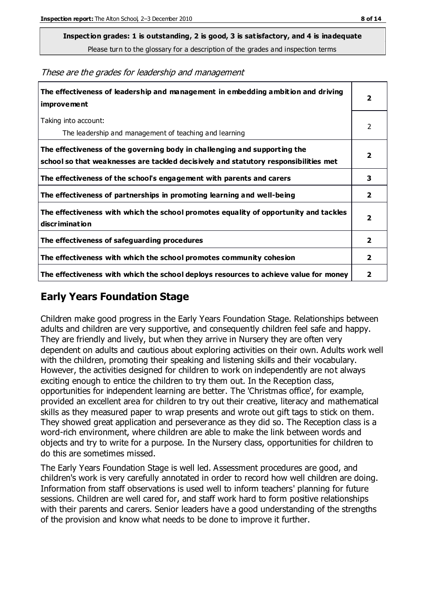**Inspection grades: 1 is outstanding, 2 is good, 3 is satisfactory, and 4 is inadequate**

Please turn to the glossary for a description of the grades and inspection terms

These are the grades for leadership and management

| The effectiveness of leadership and management in embedding ambition and driving<br><b>improvement</b>                                                           |                         |
|------------------------------------------------------------------------------------------------------------------------------------------------------------------|-------------------------|
| Taking into account:<br>The leadership and management of teaching and learning                                                                                   | 2                       |
| The effectiveness of the governing body in challenging and supporting the<br>school so that weaknesses are tackled decisively and statutory responsibilities met | $\overline{\mathbf{2}}$ |
| The effectiveness of the school's engagement with parents and carers                                                                                             | 3                       |
| The effectiveness of partnerships in promoting learning and well-being                                                                                           | $\mathbf{2}$            |
| The effectiveness with which the school promotes equality of opportunity and tackles<br>discrimination                                                           | 2                       |
| The effectiveness of safeguarding procedures                                                                                                                     | $\overline{2}$          |
| The effectiveness with which the school promotes community cohesion                                                                                              |                         |
| The effectiveness with which the school deploys resources to achieve value for money                                                                             |                         |

#### **Early Years Foundation Stage**

Children make good progress in the Early Years Foundation Stage. Relationships between adults and children are very supportive, and consequently children feel safe and happy. They are friendly and lively, but when they arrive in Nursery they are often very dependent on adults and cautious about exploring activities on their own. Adults work well with the children, promoting their speaking and listening skills and their vocabulary. However, the activities designed for children to work on independently are not always exciting enough to entice the children to try them out. In the Reception class, opportunities for independent learning are better. The 'Christmas office', for example, provided an excellent area for children to try out their creative, literacy and mathematical skills as they measured paper to wrap presents and wrote out gift tags to stick on them. They showed great application and perseverance as they did so. The Reception class is a word-rich environment, where children are able to make the link between words and objects and try to write for a purpose. In the Nursery class, opportunities for children to do this are sometimes missed.

The Early Years Foundation Stage is well led. Assessment procedures are good, and children's work is very carefully annotated in order to record how well children are doing. Information from staff observations is used well to inform teachers' planning for future sessions. Children are well cared for, and staff work hard to form positive relationships with their parents and carers. Senior leaders have a good understanding of the strengths of the provision and know what needs to be done to improve it further.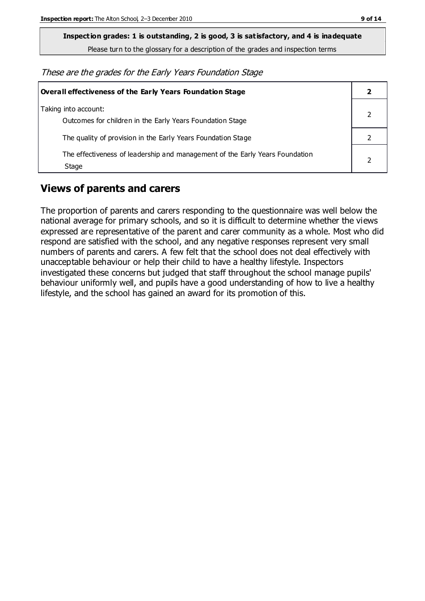**Inspection grades: 1 is outstanding, 2 is good, 3 is satisfactory, and 4 is inadequate**

Please turn to the glossary for a description of the grades and inspection terms

These are the grades for the Early Years Foundation Stage

| Overall effectiveness of the Early Years Foundation Stage                             |  |
|---------------------------------------------------------------------------------------|--|
| Taking into account:<br>Outcomes for children in the Early Years Foundation Stage     |  |
| The quality of provision in the Early Years Foundation Stage                          |  |
| The effectiveness of leadership and management of the Early Years Foundation<br>Stage |  |

## **Views of parents and carers**

The proportion of parents and carers responding to the questionnaire was well below the national average for primary schools, and so it is difficult to determine whether the views expressed are representative of the parent and carer community as a whole. Most who did respond are satisfied with the school, and any negative responses represent very small numbers of parents and carers. A few felt that the school does not deal effectively with unacceptable behaviour or help their child to have a healthy lifestyle. Inspectors investigated these concerns but judged that staff throughout the school manage pupils' behaviour uniformly well, and pupils have a good understanding of how to live a healthy lifestyle, and the school has gained an award for its promotion of this.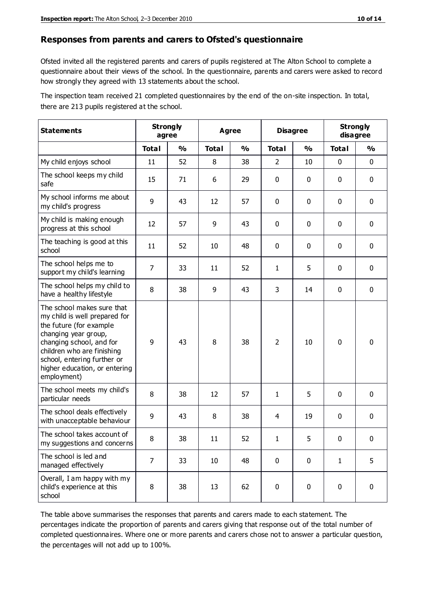#### **Responses from parents and carers to Ofsted's questionnaire**

Ofsted invited all the registered parents and carers of pupils registered at The Alton School to complete a questionnaire about their views of the school. In the questionnaire, parents and carers were asked to record how strongly they agreed with 13 statements about the school.

The inspection team received 21 completed questionnaires by the end of the on-site inspection. In total, there are 213 pupils registered at the school.

| <b>Statements</b>                                                                                                                                                                                                                                       | <b>Strongly</b><br>agree |               | Agree        |               | <b>Disagree</b> |               | <b>Strongly</b><br>disagree |             |
|---------------------------------------------------------------------------------------------------------------------------------------------------------------------------------------------------------------------------------------------------------|--------------------------|---------------|--------------|---------------|-----------------|---------------|-----------------------------|-------------|
|                                                                                                                                                                                                                                                         | <b>Total</b>             | $\frac{1}{2}$ | <b>Total</b> | $\frac{1}{2}$ | <b>Total</b>    | $\frac{1}{2}$ | <b>Total</b>                | %           |
| My child enjoys school                                                                                                                                                                                                                                  | 11                       | 52            | 8            | 38            | $\overline{2}$  | 10            | $\mathbf 0$                 | $\mathbf 0$ |
| The school keeps my child<br>safe                                                                                                                                                                                                                       | 15                       | 71            | 6            | 29            | 0               | 0             | 0                           | $\mathbf 0$ |
| My school informs me about<br>my child's progress                                                                                                                                                                                                       | 9                        | 43            | 12           | 57            | 0               | 0             | $\mathbf{0}$                | $\mathbf 0$ |
| My child is making enough<br>progress at this school                                                                                                                                                                                                    | 12                       | 57            | 9            | 43            | 0               | 0             | $\mathbf 0$                 | $\mathbf 0$ |
| The teaching is good at this<br>school                                                                                                                                                                                                                  | 11                       | 52            | 10           | 48            | 0               | $\mathbf 0$   | $\mathbf 0$                 | $\mathbf 0$ |
| The school helps me to<br>support my child's learning                                                                                                                                                                                                   | $\overline{7}$           | 33            | 11           | 52            | 1               | 5             | $\mathbf 0$                 | $\mathbf 0$ |
| The school helps my child to<br>have a healthy lifestyle                                                                                                                                                                                                | 8                        | 38            | 9            | 43            | 3               | 14            | $\mathbf 0$                 | $\mathbf 0$ |
| The school makes sure that<br>my child is well prepared for<br>the future (for example<br>changing year group,<br>changing school, and for<br>children who are finishing<br>school, entering further or<br>higher education, or entering<br>employment) | 9                        | 43            | 8            | 38            | $\overline{2}$  | 10            | $\mathbf 0$                 | $\mathbf 0$ |
| The school meets my child's<br>particular needs                                                                                                                                                                                                         | 8                        | 38            | 12           | 57            | 1               | 5             | $\mathbf 0$                 | $\mathbf 0$ |
| The school deals effectively<br>with unacceptable behaviour                                                                                                                                                                                             | 9                        | 43            | 8            | 38            | 4               | 19            | 0                           | $\mathbf 0$ |
| The school takes account of<br>my suggestions and concerns                                                                                                                                                                                              | 8                        | 38            | 11           | 52            | 1               | 5             | $\pmb{0}$                   | 0           |
| The school is led and<br>managed effectively                                                                                                                                                                                                            | $\overline{7}$           | 33            | 10           | 48            | 0               | 0             | $\mathbf{1}$                | 5           |
| Overall, I am happy with my<br>child's experience at this<br>school                                                                                                                                                                                     | 8                        | 38            | 13           | 62            | $\pmb{0}$       | $\mathbf 0$   | $\mathbf 0$                 | $\mathbf 0$ |

The table above summarises the responses that parents and carers made to each statement. The percentages indicate the proportion of parents and carers giving that response out of the total number of completed questionnaires. Where one or more parents and carers chose not to answer a particular question, the percentages will not add up to 100%.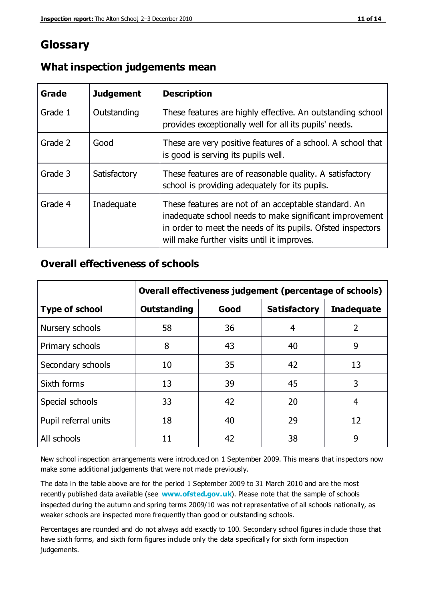## **Glossary**

| Grade   | <b>Judgement</b> | <b>Description</b>                                                                                                                                                                                                            |
|---------|------------------|-------------------------------------------------------------------------------------------------------------------------------------------------------------------------------------------------------------------------------|
| Grade 1 | Outstanding      | These features are highly effective. An outstanding school<br>provides exceptionally well for all its pupils' needs.                                                                                                          |
| Grade 2 | Good             | These are very positive features of a school. A school that<br>is good is serving its pupils well.                                                                                                                            |
| Grade 3 | Satisfactory     | These features are of reasonable quality. A satisfactory<br>school is providing adequately for its pupils.                                                                                                                    |
| Grade 4 | Inadequate       | These features are not of an acceptable standard. An<br>inadequate school needs to make significant improvement<br>in order to meet the needs of its pupils. Ofsted inspectors<br>will make further visits until it improves. |

#### **What inspection judgements mean**

## **Overall effectiveness of schools**

|                       | Overall effectiveness judgement (percentage of schools) |      |                     |                   |
|-----------------------|---------------------------------------------------------|------|---------------------|-------------------|
| <b>Type of school</b> | <b>Outstanding</b>                                      | Good | <b>Satisfactory</b> | <b>Inadequate</b> |
| Nursery schools       | 58                                                      | 36   | 4                   | $\overline{2}$    |
| Primary schools       | 8                                                       | 43   | 40                  | 9                 |
| Secondary schools     | 10                                                      | 35   | 42                  | 13                |
| Sixth forms           | 13                                                      | 39   | 45                  | 3                 |
| Special schools       | 33                                                      | 42   | 20                  | 4                 |
| Pupil referral units  | 18                                                      | 40   | 29                  | 12                |
| All schools           | 11                                                      | 42   | 38                  | 9                 |

New school inspection arrangements were introduced on 1 September 2009. This means that inspectors now make some additional judgements that were not made previously.

The data in the table above are for the period 1 September 2009 to 31 March 2010 and are the most recently published data available (see **[www.ofsted.gov.uk](http://www.ofsted.gov.uk/)**). Please note that the sample of schools inspected during the autumn and spring terms 2009/10 was not representative of all schools nationally, as weaker schools are inspected more frequently than good or outstanding schools.

Percentages are rounded and do not always add exactly to 100. Secondary school figures in clude those that have sixth forms, and sixth form figures include only the data specifically for sixth form inspection judgements.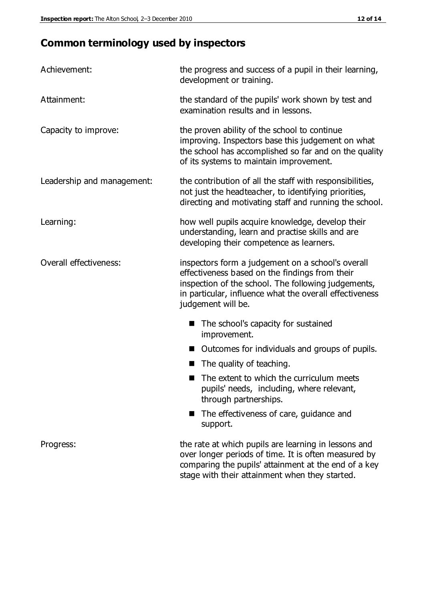# **Common terminology used by inspectors**

| Achievement:               | the progress and success of a pupil in their learning,<br>development or training.                                                                                                                                                          |  |  |
|----------------------------|---------------------------------------------------------------------------------------------------------------------------------------------------------------------------------------------------------------------------------------------|--|--|
| Attainment:                | the standard of the pupils' work shown by test and<br>examination results and in lessons.                                                                                                                                                   |  |  |
| Capacity to improve:       | the proven ability of the school to continue<br>improving. Inspectors base this judgement on what<br>the school has accomplished so far and on the quality<br>of its systems to maintain improvement.                                       |  |  |
| Leadership and management: | the contribution of all the staff with responsibilities,<br>not just the headteacher, to identifying priorities,<br>directing and motivating staff and running the school.                                                                  |  |  |
| Learning:                  | how well pupils acquire knowledge, develop their<br>understanding, learn and practise skills and are<br>developing their competence as learners.                                                                                            |  |  |
| Overall effectiveness:     | inspectors form a judgement on a school's overall<br>effectiveness based on the findings from their<br>inspection of the school. The following judgements,<br>in particular, influence what the overall effectiveness<br>judgement will be. |  |  |
|                            | The school's capacity for sustained<br>improvement.                                                                                                                                                                                         |  |  |
|                            | Outcomes for individuals and groups of pupils.                                                                                                                                                                                              |  |  |
|                            | The quality of teaching.                                                                                                                                                                                                                    |  |  |
|                            | The extent to which the curriculum meets<br>pupils' needs, including, where relevant,<br>through partnerships.                                                                                                                              |  |  |
|                            | The effectiveness of care, guidance and<br>support.                                                                                                                                                                                         |  |  |
| Progress:                  | the rate at which pupils are learning in lessons and<br>over longer periods of time. It is often measured by<br>comparing the pupils' attainment at the end of a key                                                                        |  |  |

stage with their attainment when they started.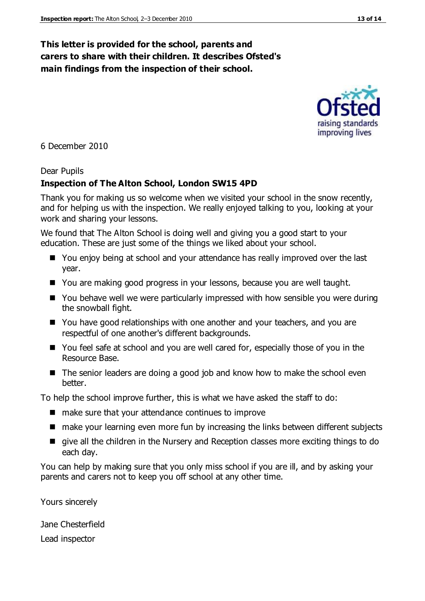#### **This letter is provided for the school, parents and carers to share with their children. It describes Ofsted's main findings from the inspection of their school.**

6 December 2010

#### Dear Pupils

#### **Inspection of The Alton School, London SW15 4PD**

Thank you for making us so welcome when we visited your school in the snow recently, and for helping us with the inspection. We really enjoyed talking to you, looking at your work and sharing your lessons.

We found that The Alton School is doing well and giving you a good start to your education. These are just some of the things we liked about your school.

- You enjoy being at school and your attendance has really improved over the last year.
- You are making good progress in your lessons, because you are well taught.
- You behave well we were particularly impressed with how sensible you were during the snowball fight.
- You have good relationships with one another and your teachers, and you are respectful of one another's different backgrounds.
- You feel safe at school and you are well cared for, especially those of you in the Resource Base.
- The senior leaders are doing a good job and know how to make the school even better.

To help the school improve further, this is what we have asked the staff to do:

- $\blacksquare$  make sure that your attendance continues to improve
- make your learning even more fun by increasing the links between different subjects
- qive all the children in the Nursery and Reception classes more exciting things to do each day.

You can help by making sure that you only miss school if you are ill, and by asking your parents and carers not to keep you off school at any other time.

Yours sincerely

Jane Chesterfield Lead inspector